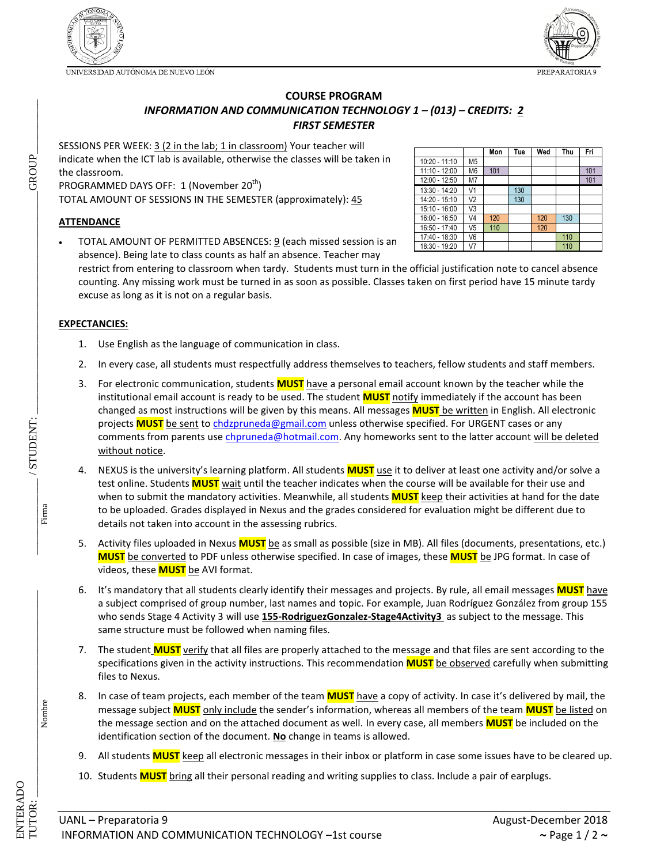

UNIVERSIDAD AUTÓNOMA DE NUEVO LEÓN



## **COURSE PROGRAM** *INFORMATION AND COMMUNICATION TECHNOLOGY 1 – (013) – CREDITS: 2 FIRST SEMESTER*

SESSIONS PER WEEK: 3 (2 in the lab; 1 in classroom) Your teacher will indicate when the ICT lab is available, otherwise the classes will be taken in the classroom.

PROGRAMMED DAYS OFF: 1 (November 20<sup>th</sup>)

TOTAL AMOUNT OF SESSIONS IN THE SEMESTER (approximately): 45

### **ATTENDANCE**

 TOTAL AMOUNT OF PERMITTED ABSENCES: 9 (each missed session is an absence). Being late to class counts as half an absence. Teacher may

restrict from entering to classroom when tardy. Students must turn in the official justification note to cancel absence counting. Any missing work must be turned in as soon as possible. Classes taken on first period have 15 minute tardy excuse as long as it is not on a regular basis.

#### **EXPECTANCIES:**

- 1. Use English as the language of communication in class.
- 2. In every case, all students must respectfully address themselves to teachers, fellow students and staff members.
- **INFORMATION AND COMMUNICATION THE CONSULTER CONSULTER CONSULTER THE CONSULTER CONSULTER THE CONSULTER CONSULTER THE CONSULTER CONSULTER CONSULTER CONSULTER THE CONSULTER CONSULTER THE CONSULTER CONSULTER THE CONSULTER CO** 3. For electronic communication, students **MUST** have a personal email account known by the teacher while the institutional email account is ready to be used. The student **MUST** notify immediately if the account has been changed as most instructions will be given by this means. All messages **MUST** be written in English. All electronic projects **MUST** be sent t[o chdzpruneda@gmail.com](mailto:chdzpruneda@gmail.com) unless otherwise specified. For URGENT cases or any comments from parents use [chpruneda@hotmail.com.](mailto:chpruneda@hotmail.com) Any homeworks sent to the latter account will be deleted without notice.
	- 4. NEXUS is the university's learning platform. All students **MUST** use it to deliver at least one activity and/or solve a test online. Students **MUST** wait until the teacher indicates when the course will be available for their use and when to submit the mandatory activities. Meanwhile, all students **MUST** keep their activities at hand for the date to be uploaded. Grades displayed in Nexus and the grades considered for evaluation might be different due to details not taken into account in the assessing rubrics.
	- 5. Activity files uploaded in Nexus **MUST** be as small as possible (size in MB). All files (documents, presentations, etc.) **MUST** be converted to PDF unless otherwise specified. In case of images, these **MUST** be JPG format. In case of videos, these **MUST** be AVI format.
	- 6. It's mandatory that all students clearly identify their messages and projects. By rule, all email messages **MUST** have a subject comprised of group number, last names and topic. For example, Juan Rodríguez González from group 155 who sends Stage 4 Activity 3 will use **155-RodriguezGonzalez-Stage4Activity3** as subject to the message. This same structure must be followed when naming files.
	- 7. The student **MUST** verify that all files are properly attached to the message and that files are sent according to the specifications given in the activity instructions. This recommendation **MUST** be observed carefully when submitting files to Nexus.
	- 8. In case of team projects, each member of the team **MUST** have a copy of activity. In case it's delivered by mail, the message subject **MUST** only include the sender's information, whereas all members of the team **MUST** be listed on the message section and on the attached document as well. In every case, all members **MUST** be included on the identification section of the document. **No** change in teams is allowed.
	- 9. All students **MUST** keep all electronic messages in their inbox or platform in case some issues have to be cleared up.
	- 10. Students **MUST** bring all their personal reading and writing supplies to class. Include a pair of earplugs.

|                 |                | Mon | Tue | Wed | Thu | Fri |
|-----------------|----------------|-----|-----|-----|-----|-----|
| $10:20 - 11:10$ | M5             |     |     |     |     |     |
| $11:10 - 12:00$ | M <sub>6</sub> | 101 |     |     |     | 101 |
| $12:00 - 12:50$ | M7             |     |     |     |     | 101 |
| $13:30 - 14:20$ | V1             |     | 130 |     |     |     |
| $14:20 - 15:10$ | V <sub>2</sub> |     | 130 |     |     |     |
| $15:10 - 16:00$ | V <sub>3</sub> |     |     |     |     |     |
| $16:00 - 16:50$ | V4             | 120 |     | 120 | 130 |     |
| 16:50 - 17:40   | V5             | 110 |     | 120 |     |     |
| 17:40 - 18:30   | V6             |     |     |     | 110 |     |
| 18:30 - 19:20   | V7             |     |     |     | 110 |     |

ENTERADO

TUTOR:  $\frac{1}{2}$   $\frac{1}{2}$   $\frac{1}{2}$   $\frac{1}{2}$   $\frac{1}{2}$   $\frac{1}{2}$   $\frac{1}{2}$   $\frac{1}{2}$   $\frac{1}{2}$   $\frac{1}{2}$   $\frac{1}{2}$   $\frac{1}{2}$   $\frac{1}{2}$   $\frac{1}{2}$   $\frac{1}{2}$   $\frac{1}{2}$   $\frac{1}{2}$   $\frac{1}{2}$   $\frac{1}{2}$   $\frac{1}{2}$   $\frac{1}{2}$   $\frac{$